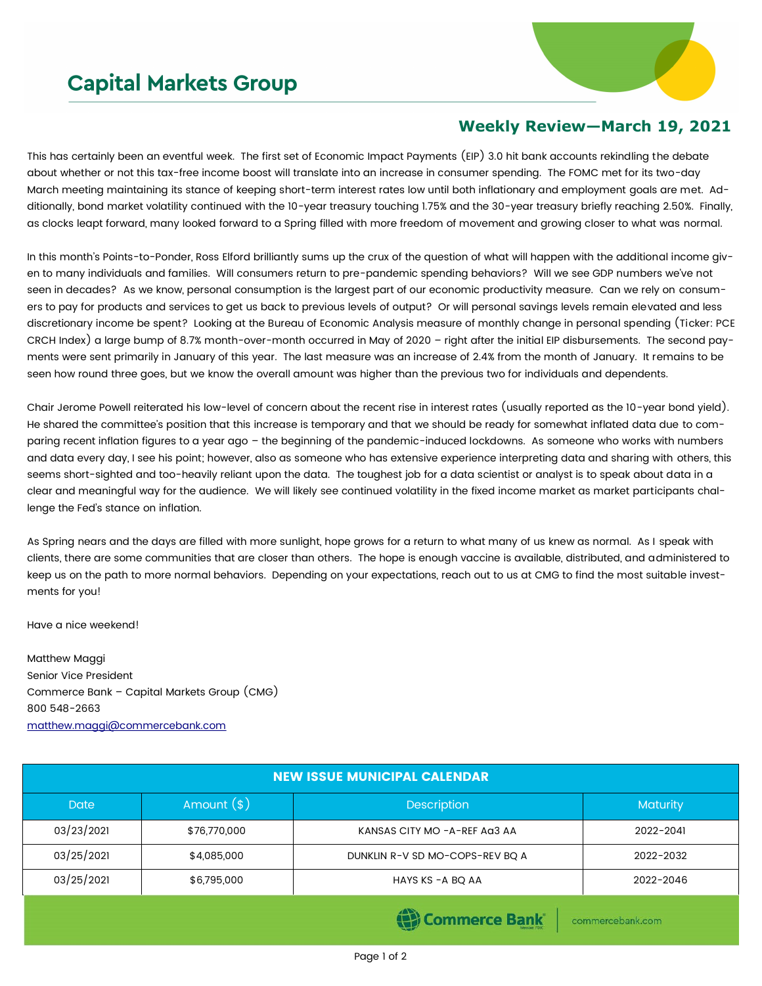## **Capital Markets Group**



## **Weekly Review—March 19, 2021**

This has certainly been an eventful week. The first set of Economic Impact Payments (EIP) 3.0 hit bank accounts rekindling the debate about whether or not this tax-free income boost will translate into an increase in consumer spending. The FOMC met for its two-day March meeting maintaining its stance of keeping short-term interest rates low until both inflationary and employment goals are met. Additionally, bond market volatility continued with the 10-year treasury touching 1.75% and the 30-year treasury briefly reaching 2.50%. Finally, as clocks leapt forward, many looked forward to a Spring filled with more freedom of movement and growing closer to what was normal.

In this month's Points-to-Ponder, Ross Elford brilliantly sums up the crux of the question of what will happen with the additional income given to many individuals and families. Will consumers return to pre-pandemic spending behaviors? Will we see GDP numbers we've not seen in decades? As we know, personal consumption is the largest part of our economic productivity measure. Can we rely on consumers to pay for products and services to get us back to previous levels of output? Or will personal savings levels remain elevated and less discretionary income be spent? Looking at the Bureau of Economic Analysis measure of monthly change in personal spending (Ticker: PCE CRCH Index) a large bump of 8.7% month-over-month occurred in May of 2020 – right after the initial EIP disbursements. The second payments were sent primarily in January of this year. The last measure was an increase of 2.4% from the month of January. It remains to be seen how round three goes, but we know the overall amount was higher than the previous two for individuals and dependents.

Chair Jerome Powell reiterated his low-level of concern about the recent rise in interest rates (usually reported as the 10-year bond yield). He shared the committee's position that this increase is temporary and that we should be ready for somewhat inflated data due to comparing recent inflation figures to a year ago – the beginning of the pandemic-induced lockdowns. As someone who works with numbers and data every day, I see his point; however, also as someone who has extensive experience interpreting data and sharing with others, this seems short-sighted and too-heavily reliant upon the data. The toughest job for a data scientist or analyst is to speak about data in a clear and meaningful way for the audience. We will likely see continued volatility in the fixed income market as market participants challenge the Fed's stance on inflation.

As Spring nears and the days are filled with more sunlight, hope grows for a return to what many of us knew as normal. As I speak with clients, there are some communities that are closer than others. The hope is enough vaccine is available, distributed, and administered to keep us on the path to more normal behaviors. Depending on your expectations, reach out to us at CMG to find the most suitable investments for you!

Have a nice weekend!

Matthew Maggi Senior Vice President Commerce Bank – Capital Markets Group (CMG) 800 548-2663 [matthew.maggi@commercebank.com](mailto:matthew.maggi@commercebank.com)

| <b>NEW ISSUE MUNICIPAL CALENDAR</b> |                                 |                                 |           |  |  |  |
|-------------------------------------|---------------------------------|---------------------------------|-----------|--|--|--|
| <b>Date</b>                         | Amount $(*)$                    | <b>Description</b>              |           |  |  |  |
| 03/23/2021                          | \$76,770,000                    | KANSAS CITY MO -A-REF AG3 AA    | 2022-2041 |  |  |  |
| 03/25/2021                          | \$4,085,000                     | DUNKLIN R-V SD MO-COPS-REV BQ A | 2022-2032 |  |  |  |
| 03/25/2021                          | \$6,795,000<br>HAYS KS -A BQ AA |                                 | 2022-2046 |  |  |  |
|                                     |                                 |                                 |           |  |  |  |

Commerce Bank

commercebank.com